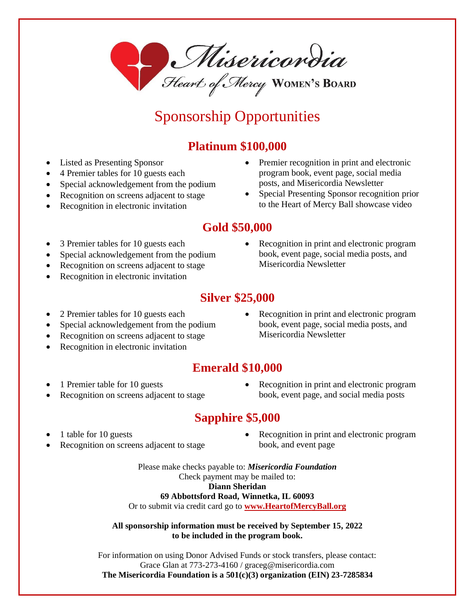Misericondia

# Sponsorship Opportunities

#### **Platinum \$100,000**

- Listed as Presenting Sponsor
- 4 Premier tables for 10 guests each
- Special acknowledgement from the podium
- Recognition on screens adjacent to stage
- Recognition in electronic invitation
- Premier recognition in print and electronic program book, event page, social media posts, and Misericordia Newsletter
- Special Presenting Sponsor recognition prior to the Heart of Mercy Ball showcase video

#### **Gold \$50,000**

- 3 Premier tables for 10 guests each
- Special acknowledgement from the podium
- Recognition on screens adjacent to stage
- Recognition in electronic invitation
- Recognition in print and electronic program book, event page, social media posts, and Misericordia Newsletter

### **Silver \$25,000**

- 2 Premier tables for 10 guests each
- Special acknowledgement from the podium
- Recognition on screens adjacent to stage
- Recognition in electronic invitation
- Recognition in print and electronic program book, event page, social media posts, and Misericordia Newsletter

#### **Emerald \$10,000**

- 1 Premier table for 10 guests
- Recognition on screens adjacent to stage
- Recognition in print and electronic program book, event page, and social media posts

#### **Sapphire \$5,000**

- 1 table for 10 guests
- Recognition on screens adjacent to stage
- Recognition in print and electronic program book, and event page

Please make checks payable to: *Misericordia Foundation* Check payment may be mailed to: **Diann Sheridan 69 Abbottsford Road, Winnetka, IL 60093**

Or to submit via credit card go to **[www.HeartofMercyBall.org](https://d.docs.live.net/34cf08d5d8099efe/Documents/MISHOM2022/HOM%20BALL%202022/Sponsorship/www.HeartofMercyBall.org)**

#### **All sponsorship information must be received by September 15, 2022 to be included in the program book.**

For information on using Donor Advised Funds or stock transfers, please contact: Grace Glan at 773-273-4160 / [graceg@misericordia.com](mailto:graceg@misericordia.com) **The Misericordia Foundation is a 501(c)(3) organization (EIN) 23-7285834**